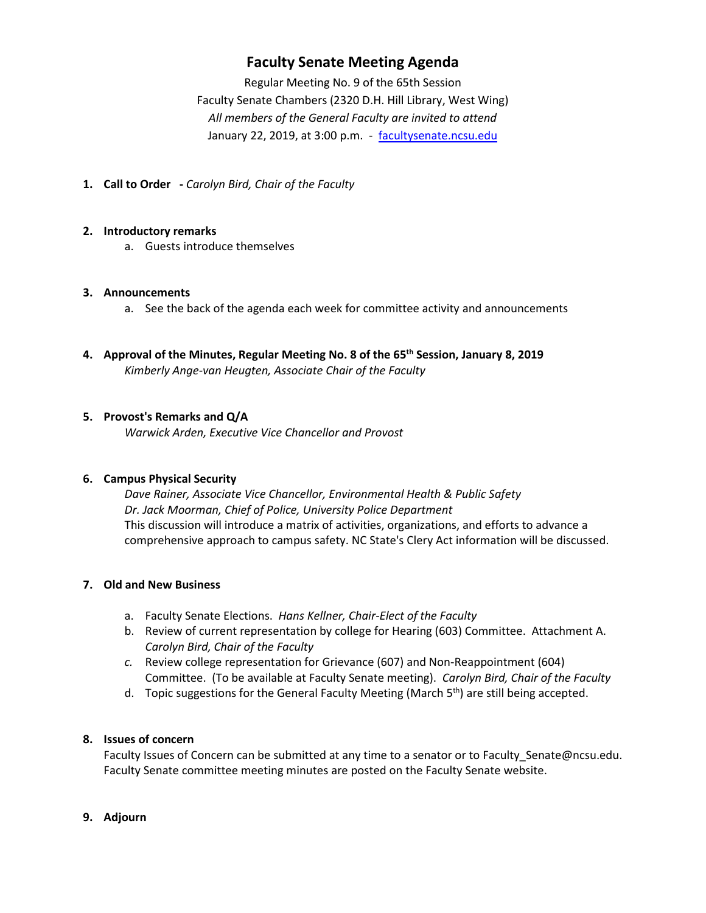## **Faculty Senate Meeting Agenda**

Regular Meeting No. 9 of the 65th Session Faculty Senate Chambers (2320 D.H. Hill Library, West Wing) *All members of the General Faculty are invited to attend* January 22, 2019, at 3:00 p.m. - [facultysenate.ncsu.edu](https://facultysenate.ncsu.edu/)

**1. Call to Order -** *Carolyn Bird, Chair of the Faculty*

### **2. Introductory remarks**

a. Guests introduce themselves

### **3. Announcements**

- a. See the back of the agenda each week for committee activity and announcements
- **4. Approval of the Minutes, Regular Meeting No. 8 of the 65th Session, January 8, 2019** *Kimberly Ange-van Heugten, Associate Chair of the Faculty*

## **5. Provost's Remarks and Q/A**

*Warwick Arden, Executive Vice Chancellor and Provost*

### **6. Campus Physical Security**

*Dave Rainer, Associate Vice Chancellor, Environmental Health & Public Safety Dr. Jack Moorman, Chief of Police, University Police Department* This discussion will introduce a matrix of activities, organizations, and efforts to advance a comprehensive approach to campus safety. NC State's Clery Act information will be discussed.

### **7. Old and New Business**

- a. Faculty Senate Elections. *Hans Kellner, Chair-Elect of the Faculty*
- b. Review of current representation by college for Hearing (603) Committee. Attachment A. *Carolyn Bird, Chair of the Faculty*
- *c.* Review college representation for Grievance (607) and Non-Reappointment (604) Committee. (To be available at Faculty Senate meeting). *Carolyn Bird, Chair of the Faculty*
- d. Topic suggestions for the General Faculty Meeting (March 5<sup>th</sup>) are still being accepted.

## **8. Issues of concern**

Faculty Issues of Concern can be submitted at any time to a senator or to Faculty\_Senate@ncsu.edu. Faculty Senate committee meeting minutes are posted on the Faculty Senate website.

**9. Adjourn**